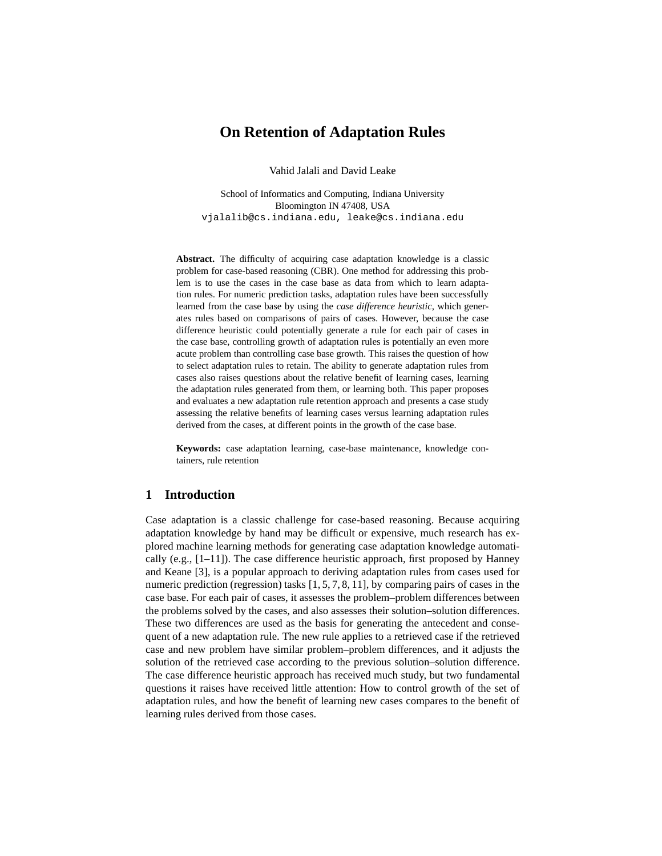# **On Retention of Adaptation Rules**

Vahid Jalali and David Leake

School of Informatics and Computing, Indiana University Bloomington IN 47408, USA vjalalib@cs.indiana.edu, leake@cs.indiana.edu

**Abstract.** The difficulty of acquiring case adaptation knowledge is a classic problem for case-based reasoning (CBR). One method for addressing this problem is to use the cases in the case base as data from which to learn adaptation rules. For numeric prediction tasks, adaptation rules have been successfully learned from the case base by using the *case difference heuristic,* which generates rules based on comparisons of pairs of cases. However, because the case difference heuristic could potentially generate a rule for each pair of cases in the case base, controlling growth of adaptation rules is potentially an even more acute problem than controlling case base growth. This raises the question of how to select adaptation rules to retain. The ability to generate adaptation rules from cases also raises questions about the relative benefit of learning cases, learning the adaptation rules generated from them, or learning both. This paper proposes and evaluates a new adaptation rule retention approach and presents a case study assessing the relative benefits of learning cases versus learning adaptation rules derived from the cases, at different points in the growth of the case base.

**Keywords:** case adaptation learning, case-base maintenance, knowledge containers, rule retention

# **1 Introduction**

Case adaptation is a classic challenge for case-based reasoning. Because acquiring adaptation knowledge by hand may be difficult or expensive, much research has explored machine learning methods for generating case adaptation knowledge automatically (e.g.,  $[1-11]$ ). The case difference heuristic approach, first proposed by Hanney and Keane [3], is a popular approach to deriving adaptation rules from cases used for numeric prediction (regression) tasks  $[1, 5, 7, 8, 11]$ , by comparing pairs of cases in the case base. For each pair of cases, it assesses the problem–problem differences between the problems solved by the cases, and also assesses their solution–solution differences. These two differences are used as the basis for generating the antecedent and consequent of a new adaptation rule. The new rule applies to a retrieved case if the retrieved case and new problem have similar problem–problem differences, and it adjusts the solution of the retrieved case according to the previous solution–solution difference. The case difference heuristic approach has received much study, but two fundamental questions it raises have received little attention: How to control growth of the set of adaptation rules, and how the benefit of learning new cases compares to the benefit of learning rules derived from those cases.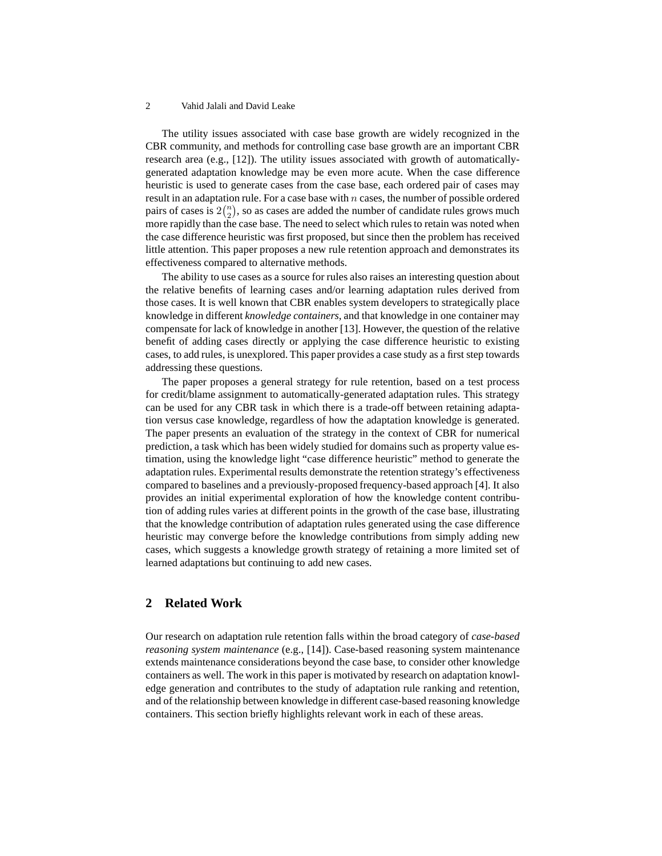### 2 Vahid Jalali and David Leake

The utility issues associated with case base growth are widely recognized in the CBR community, and methods for controlling case base growth are an important CBR research area  $(e.g., [12])$ . The utility issues associated with growth of automaticallygenerated adaptation knowledge may be even more acute. When the case difference heuristic is used to generate cases from the case base, each ordered pair of cases may result in an adaptation rule. For a case base with  $n$  cases, the number of possible ordered pairs of cases is  $2\binom{n}{2}$ , so as cases are added the number of candidate rules grows much more rapidly than the case base. The need to select which rules to retain was noted when the case difference heuristic was first proposed, but since then the problem has received little attention. This paper proposes a new rule retention approach and demonstrates its effectiveness compared to alternative methods.

The ability to use cases as a source for rules also raises an interesting question about the relative benefits of learning cases and/or learning adaptation rules derived from those cases. It is well known that CBR enables system developers to strategically place knowledge in different *knowledge containers*, and that knowledge in one container may compensate for lack of knowledge in another [13]. However, the question of the relative benefit of adding cases directly or applying the case difference heuristic to existing cases, to add rules, is unexplored. This paper provides a case study as a first step towards addressing these questions.

The paper proposes a general strategy for rule retention, based on a test process for credit/blame assignment to automatically-generated adaptation rules. This strategy can be used for any CBR task in which there is a trade-off between retaining adaptation versus case knowledge, regardless of how the adaptation knowledge is generated. The paper presents an evaluation of the strategy in the context of CBR for numerical prediction, a task which has been widely studied for domains such as property value estimation, using the knowledge light "case difference heuristic" method to generate the adaptation rules. Experimental results demonstrate the retention strategy's effectiveness compared to baselines and a previously-proposed frequency-based approach [4]. It also provides an initial experimental exploration of how the knowledge content contribution of adding rules varies at different points in the growth of the case base, illustrating that the knowledge contribution of adaptation rules generated using the case difference heuristic may converge before the knowledge contributions from simply adding new cases, which suggests a knowledge growth strategy of retaining a more limited set of learned adaptations but continuing to add new cases.

### **2 Related Work**

Our research on adaptation rule retention falls within the broad category of *case-based reasoning system maintenance* (e.g., [14]). Case-based reasoning system maintenance extends maintenance considerations beyond the case base, to consider other knowledge containers as well. The work in this paper is motivated by research on adaptation knowledge generation and contributes to the study of adaptation rule ranking and retention, and of the relationship between knowledge in different case-based reasoning knowledge containers. This section briefly highlights relevant work in each of these areas.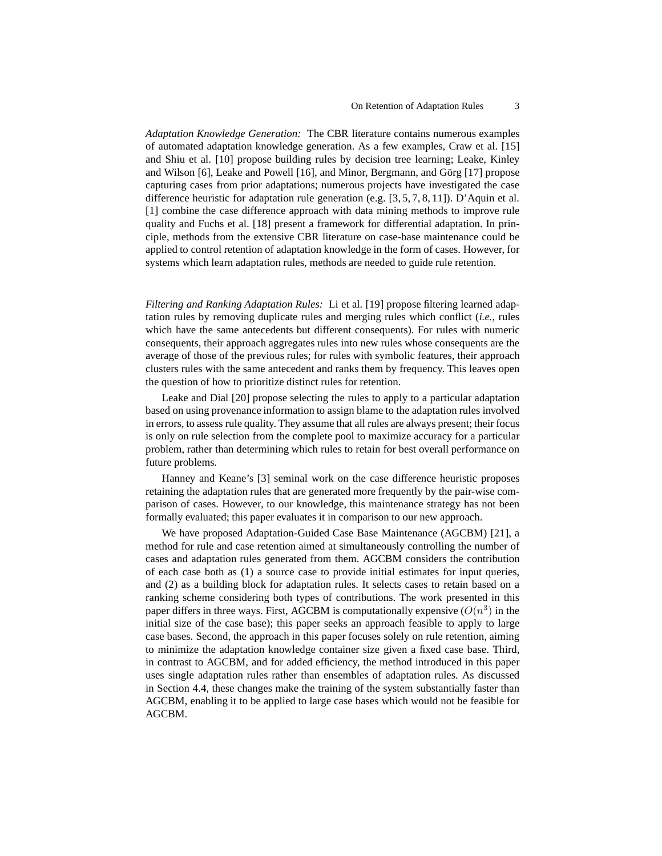*Adaptation Knowledge Generation:* The CBR literature contains numerous examples of automated adaptation knowledge generation. As a few examples, Craw et al. [15] and Shiu et al. [10] propose building rules by decision tree learning; Leake, Kinley and Wilson [6], Leake and Powell [16], and Minor, Bergmann, and Görg [17] propose capturing cases from prior adaptations; numerous projects have investigated the case difference heuristic for adaptation rule generation (e.g. [3, 5, 7, 8, 11]). D'Aquin et al. [1] combine the case difference approach with data mining methods to improve rule quality and Fuchs et al. [18] present a framework for differential adaptation. In principle, methods from the extensive CBR literature on case-base maintenance could be applied to control retention of adaptation knowledge in the form of cases. However, for systems which learn adaptation rules, methods are needed to guide rule retention.

*Filtering and Ranking Adaptation Rules:* Li et al. [19] propose filtering learned adaptation rules by removing duplicate rules and merging rules which conflict (*i.e.*, rules which have the same antecedents but different consequents). For rules with numeric consequents, their approach aggregates rules into new rules whose consequents are the average of those of the previous rules; for rules with symbolic features, their approach clusters rules with the same antecedent and ranks them by frequency. This leaves open the question of how to prioritize distinct rules for retention.

Leake and Dial [20] propose selecting the rules to apply to a particular adaptation based on using provenance information to assign blame to the adaptation rules involved in errors, to assess rule quality. They assume that all rules are always present; their focus is only on rule selection from the complete pool to maximize accuracy for a particular problem, rather than determining which rules to retain for best overall performance on future problems.

Hanney and Keane's [3] seminal work on the case difference heuristic proposes retaining the adaptation rules that are generated more frequently by the pair-wise comparison of cases. However, to our knowledge, this maintenance strategy has not been formally evaluated; this paper evaluates it in comparison to our new approach.

We have proposed Adaptation-Guided Case Base Maintenance (AGCBM) [21], a method for rule and case retention aimed at simultaneously controlling the number of cases and adaptation rules generated from them. AGCBM considers the contribution of each case both as (1) a source case to provide initial estimates for input queries, and (2) as a building block for adaptation rules. It selects cases to retain based on a ranking scheme considering both types of contributions. The work presented in this paper differs in three ways. First, AGCBM is computationally expensive  $(O(n^3))$  in the initial size of the case base); this paper seeks an approach feasible to apply to large case bases. Second, the approach in this paper focuses solely on rule retention, aiming to minimize the adaptation knowledge container size given a fixed case base. Third, in contrast to AGCBM, and for added efficiency, the method introduced in this paper uses single adaptation rules rather than ensembles of adaptation rules. As discussed in Section 4.4, these changes make the training of the system substantially faster than AGCBM, enabling it to be applied to large case bases which would not be feasible for AGCBM.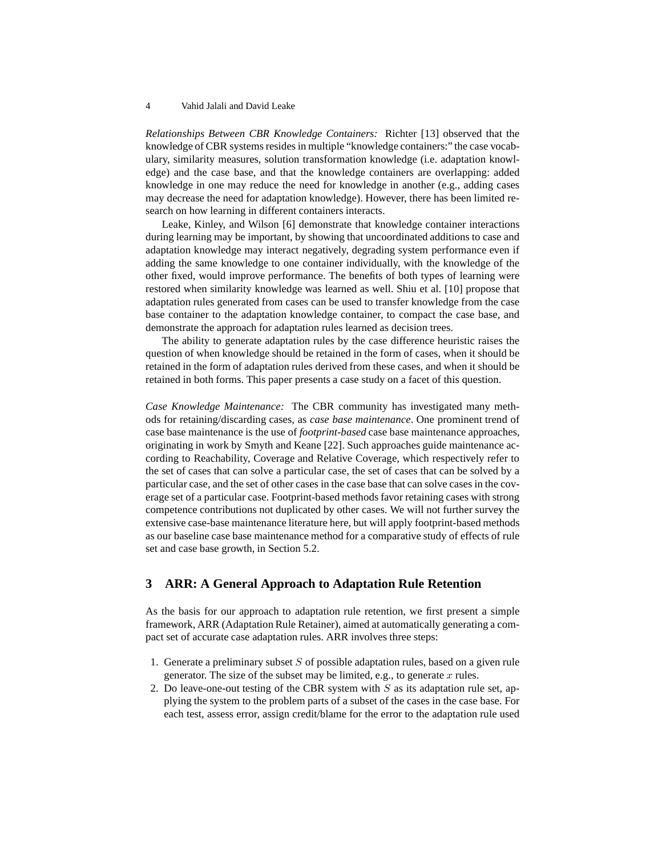### 4 Vahid Jalali and David Leake

*Relationships Between CBR Knowledge Containers:* Richter [13] observed that the knowledge of CBR systems resides in multiple "knowledge containers:" the case vocabulary, similarity measures, solution transformation knowledge (i.e. adaptation knowledge) and the case base, and that the knowledge containers are overlapping: added knowledge in one may reduce the need for knowledge in another (e.g., adding cases may decrease the need for adaptation knowledge). However, there has been limited research on how learning in different containers interacts.

Leake, Kinley, and Wilson [6] demonstrate that knowledge container interactions during learning may be important, by showing that uncoordinated additions to case and adaptation knowledge may interact negatively, degrading system performance even if adding the same knowledge to one container individually, with the knowledge of the other fixed, would improve performance. The benefits of both types of learning were restored when similarity knowledge was learned as well. Shiu et al. [10] propose that adaptation rules generated from cases can be used to transfer knowledge from the case base container to the adaptation knowledge container, to compact the case base, and demonstrate the approach for adaptation rules learned as decision trees.

The ability to generate adaptation rules by the case difference heuristic raises the question of when knowledge should be retained in the form of cases, when it should be retained in the form of adaptation rules derived from these cases, and when it should be retained in both forms. This paper presents a case study on a facet of this question.

*Case Knowledge Maintenance:* The CBR community has investigated many methods for retaining/discarding cases, as *case base maintenance*. One prominent trend of case base maintenance is the use of *footprint-based* case base maintenance approaches, originating in work by Smyth and Keane [22]. Such approaches guide maintenance according to Reachability, Coverage and Relative Coverage, which respectively refer to the set of cases that can solve a particular case, the set of cases that can be solved by a particular case, and the set of other cases in the case base that can solve cases in the coverage set of a particular case. Footprint-based methods favor retaining cases with strong competence contributions not duplicated by other cases. We will not further survey the extensive case-base maintenance literature here, but will apply footprint-based methods as our baseline case base maintenance method for a comparative study of effects of rule set and case base growth, in Section 5.2.

# **3 ARR: A General Approach to Adaptation Rule Retention**

As the basis for our approach to adaptation rule retention, we first present a simple framework, ARR (Adaptation Rule Retainer), aimed at automatically generating a compact set of accurate case adaptation rules. ARR involves three steps:

- 1. Generate a preliminary subset  $S$  of possible adaptation rules, based on a given rule generator. The size of the subset may be limited, e.g., to generate  $x$  rules.
- 2. Do leave-one-out testing of the CBR system with  $S$  as its adaptation rule set, applying the system to the problem parts of a subset of the cases in the case base. For each test, assess error, assign credit/blame for the error to the adaptation rule used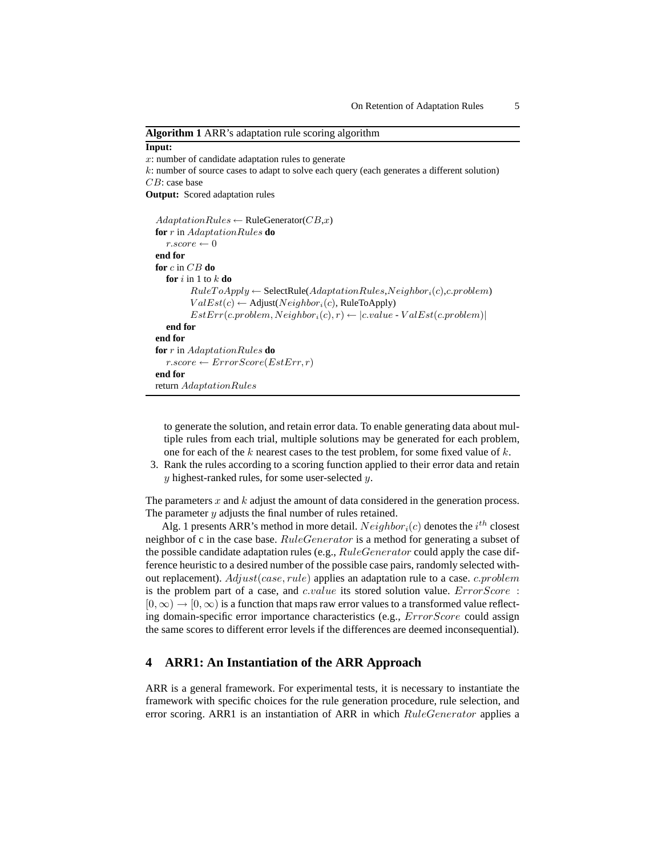| <b>Algorithm 1</b> ARR's adaptation rule scoring algorithm                                   |
|----------------------------------------------------------------------------------------------|
| Input:                                                                                       |
| $x$ : number of candidate adaptation rules to generate                                       |
| k: number of source cases to adapt to solve each query (each generates a different solution) |
| $CB$ : case base                                                                             |
| <b>Output:</b> Scored adaptation rules                                                       |
| $AdaptationRules \leftarrow RuleGenerator(CB,x)$                                             |
| <b>for</b> r in Adaptation Rules <b>do</b>                                                   |
| $r_score \leftarrow 0$                                                                       |
| end for                                                                                      |
| for $c$ in $CB$ do                                                                           |
| for $i$ in 1 to $k$ do                                                                       |
| $RuleToApply \leftarrow SelectRule(Adaptation Rules, Neighbour_i(c), c. problem)$            |
| $ValEst(c) \leftarrow \text{Adjust}(Neighbour_i(c), \text{RuleToApply})$                     |
| $EstErr(c, problem, Neighbour_i(c), r) \leftarrow  c.value - ValEst(c, problem) $            |
| end for                                                                                      |
| end for                                                                                      |
| <b>for</b> r in Adaptation Rules <b>do</b>                                                   |
| $r_score \leftarrow ErrorScore(EstErr, r)$                                                   |
| end for                                                                                      |
| return <i>AdaptationRules</i>                                                                |
|                                                                                              |

to generate the solution, and retain error data. To enable generating data about multiple rules from each trial, multiple solutions may be generated for each problem, one for each of the  $k$  nearest cases to the test problem, for some fixed value of  $k$ .

3. Rank the rules according to a scoring function applied to their error data and retain  $y$  highest-ranked rules, for some user-selected  $y$ .

The parameters  $x$  and  $k$  adjust the amount of data considered in the generation process. The parameter y adjusts the final number of rules retained.

Alg. 1 presents ARR's method in more detail.  $Neighbour_i(c)$  denotes the  $i^{th}$  closest neighbor of c in the case base. RuleGenerator is a method for generating a subset of the possible candidate adaptation rules (e.g.,  $RuleGenerator$  could apply the case difference heuristic to a desired number of the possible case pairs, randomly selected without replacement). Adjust(case, rule) applies an adaptation rule to a case. c.problem is the problem part of a case, and  $c.value$  its stored solution value.  $ErrorScore$ :  $[0, \infty) \rightarrow [0, \infty)$  is a function that maps raw error values to a transformed value reflecting domain-specific error importance characteristics (e.g., ErrorScore could assign the same scores to different error levels if the differences are deemed inconsequential).

### **4 ARR1: An Instantiation of the ARR Approach**

ARR is a general framework. For experimental tests, it is necessary to instantiate the framework with specific choices for the rule generation procedure, rule selection, and error scoring. ARR1 is an instantiation of ARR in which  $RuleGenerator$  applies a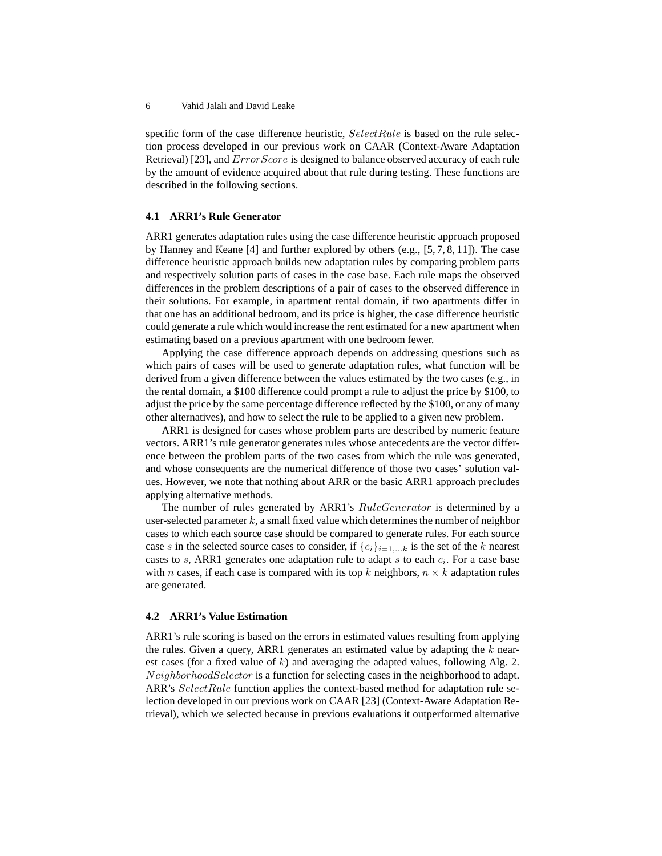specific form of the case difference heuristic,  $SelectRule$  is based on the rule selection process developed in our previous work on CAAR (Context-Aware Adaptation Retrieval) [23], and *ErrorScore* is designed to balance observed accuracy of each rule by the amount of evidence acquired about that rule during testing. These functions are described in the following sections.

#### **4.1 ARR1's Rule Generator**

ARR1 generates adaptation rules using the case difference heuristic approach proposed by Hanney and Keane [4] and further explored by others (e.g., [5, 7, 8, 11]). The case difference heuristic approach builds new adaptation rules by comparing problem parts and respectively solution parts of cases in the case base. Each rule maps the observed differences in the problem descriptions of a pair of cases to the observed difference in their solutions. For example, in apartment rental domain, if two apartments differ in that one has an additional bedroom, and its price is higher, the case difference heuristic could generate a rule which would increase the rent estimated for a new apartment when estimating based on a previous apartment with one bedroom fewer.

Applying the case difference approach depends on addressing questions such as which pairs of cases will be used to generate adaptation rules, what function will be derived from a given difference between the values estimated by the two cases (e.g., in the rental domain, a \$100 difference could prompt a rule to adjust the price by \$100, to adjust the price by the same percentage difference reflected by the \$100, or any of many other alternatives), and how to select the rule to be applied to a given new problem.

ARR1 is designed for cases whose problem parts are described by numeric feature vectors. ARR1's rule generator generates rules whose antecedents are the vector difference between the problem parts of the two cases from which the rule was generated, and whose consequents are the numerical difference of those two cases' solution values. However, we note that nothing about ARR or the basic ARR1 approach precludes applying alternative methods.

The number of rules generated by ARR1's RuleGenerator is determined by a user-selected parameter  $k$ , a small fixed value which determines the number of neighbor cases to which each source case should be compared to generate rules. For each source case s in the selected source cases to consider, if  ${c_i}_{i=1,\ldots,k}$  is the set of the k nearest cases to  $s$ , ARR1 generates one adaptation rule to adapt  $s$  to each  $c_i$ . For a case base with n cases, if each case is compared with its top k neighbors,  $n \times k$  adaptation rules are generated.

### **4.2 ARR1's Value Estimation**

ARR1's rule scoring is based on the errors in estimated values resulting from applying the rules. Given a query, ARR1 generates an estimated value by adapting the  $k$  nearest cases (for a fixed value of  $k$ ) and averaging the adapted values, following Alg. 2. NeighborhoodSelector is a function for selecting cases in the neighborhood to adapt. ARR's SelectRule function applies the context-based method for adaptation rule selection developed in our previous work on CAAR [23] (Context-Aware Adaptation Retrieval), which we selected because in previous evaluations it outperformed alternative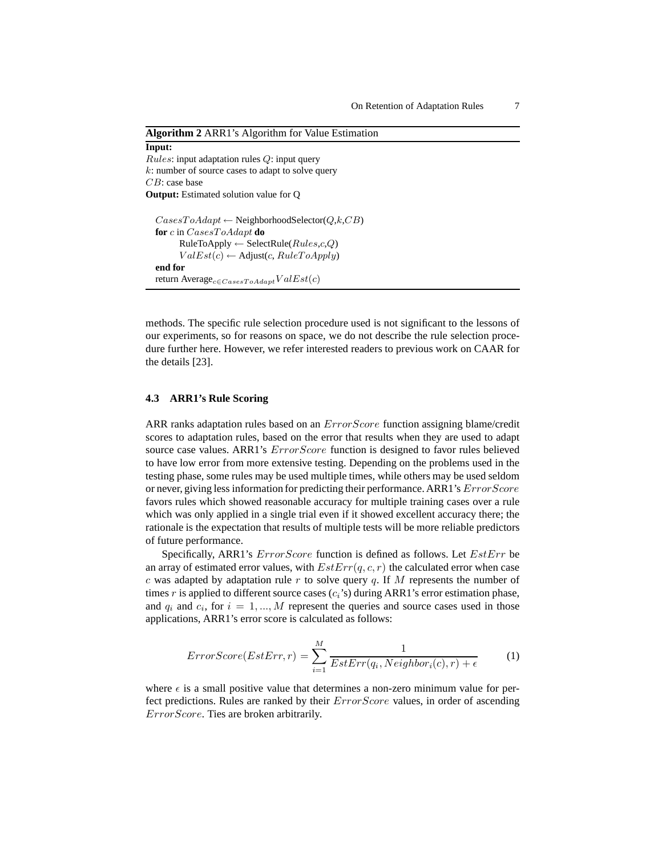| <b>Algorithm 2</b> ARR1's Algorithm for Value Estimation                                                                                                                                                                                                                                                                    |
|-----------------------------------------------------------------------------------------------------------------------------------------------------------------------------------------------------------------------------------------------------------------------------------------------------------------------------|
| Input:                                                                                                                                                                                                                                                                                                                      |
| <i>Rules:</i> input adaptation rules $Q$ : input query                                                                                                                                                                                                                                                                      |
| $k$ : number of source cases to adapt to solve query                                                                                                                                                                                                                                                                        |
| $CB$ : case base                                                                                                                                                                                                                                                                                                            |
| <b>Output:</b> Estimated solution value for O                                                                                                                                                                                                                                                                               |
| $\text{CasesToAdapt} \leftarrow$ NeighborhoodSelector( $Q, k, CB$ )<br><b>for</b> c in $\text{CasesToAdapt}\,\text{do}$<br>$RuleToApply \leftarrow SelectRule(Rules, c, Q)$<br>$ValEst(c) \leftarrow \text{Adjust}(c, RuleToApply)$<br>end for<br>return Average <sub>c</sub> $\epsilon_{\text{casesToAdapt}}$ Val $Est(c)$ |

methods. The specific rule selection procedure used is not significant to the lessons of our experiments, so for reasons on space, we do not describe the rule selection procedure further here. However, we refer interested readers to previous work on CAAR for the details [23].

### **4.3 ARR1's Rule Scoring**

ARR ranks adaptation rules based on an *ErrorScore* function assigning blame/credit scores to adaptation rules, based on the error that results when they are used to adapt source case values. ARR1's *ErrorScore* function is designed to favor rules believed to have low error from more extensive testing. Depending on the problems used in the testing phase, some rules may be used multiple times, while others may be used seldom or never, giving less information for predicting their performance. ARR1's ErrorScore favors rules which showed reasonable accuracy for multiple training cases over a rule which was only applied in a single trial even if it showed excellent accuracy there; the rationale is the expectation that results of multiple tests will be more reliable predictors of future performance.

Specifically, ARR1's *ErrorScore* function is defined as follows. Let *EstErr* be an array of estimated error values, with  $EstErr(q, c, r)$  the calculated error when case  $c$  was adapted by adaptation rule  $r$  to solve query  $q$ . If  $M$  represents the number of times r is applied to different source cases  $(c_i)$  during ARR1's error estimation phase, and  $q_i$  and  $c_i$ , for  $i = 1, ..., M$  represent the queries and source cases used in those applications, ARR1's error score is calculated as follows:

$$
ErrorScore(EstErr, r) = \sum_{i=1}^{M} \frac{1}{EstErr(q_i, Neighbour_i(c), r) + \epsilon}
$$
 (1)

where  $\epsilon$  is a small positive value that determines a non-zero minimum value for perfect predictions. Rules are ranked by their  $ErrorScore$  values, in order of ascending ErrorScore. Ties are broken arbitrarily.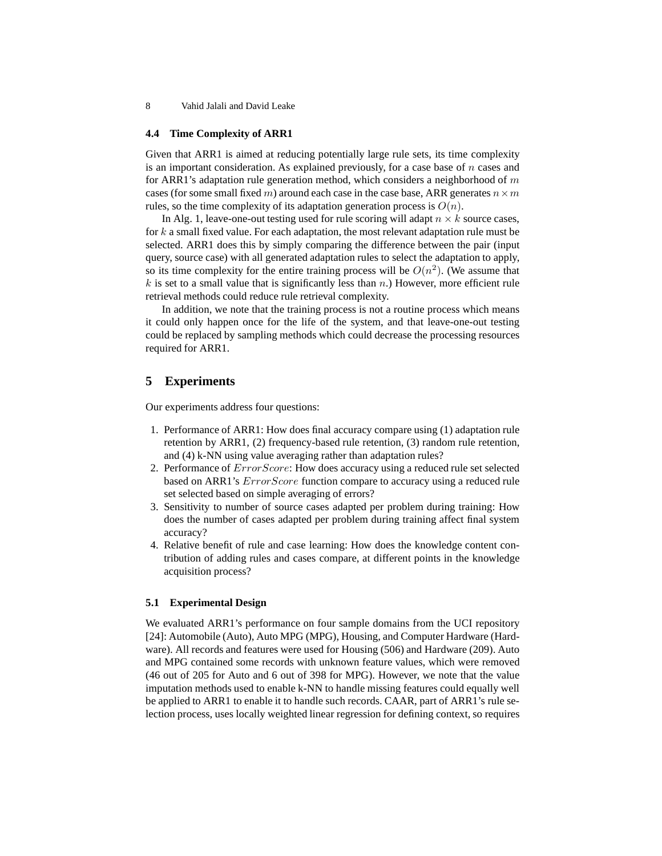8 Vahid Jalali and David Leake

#### **4.4 Time Complexity of ARR1**

Given that ARR1 is aimed at reducing potentially large rule sets, its time complexity is an important consideration. As explained previously, for a case base of  $n$  cases and for ARR1's adaptation rule generation method, which considers a neighborhood of  $m$ cases (for some small fixed m) around each case in the case base, ARR generates  $n \times m$ rules, so the time complexity of its adaptation generation process is  $O(n)$ .

In Alg. 1, leave-one-out testing used for rule scoring will adapt  $n \times k$  source cases, for  $k$  a small fixed value. For each adaptation, the most relevant adaptation rule must be selected. ARR1 does this by simply comparing the difference between the pair (input query, source case) with all generated adaptation rules to select the adaptation to apply, so its time complexity for the entire training process will be  $O(n^2)$ . (We assume that  $k$  is set to a small value that is significantly less than  $n$ .) However, more efficient rule retrieval methods could reduce rule retrieval complexity.

In addition, we note that the training process is not a routine process which means it could only happen once for the life of the system, and that leave-one-out testing could be replaced by sampling methods which could decrease the processing resources required for ARR1.

### **5 Experiments**

Our experiments address four questions:

- 1. Performance of ARR1: How does final accuracy compare using (1) adaptation rule retention by ARR1, (2) frequency-based rule retention, (3) random rule retention, and (4) k-NN using value averaging rather than adaptation rules?
- 2. Performance of  $ErrorScore$ : How does accuracy using a reduced rule set selected based on ARR1's *ErrorScore* function compare to accuracy using a reduced rule set selected based on simple averaging of errors?
- 3. Sensitivity to number of source cases adapted per problem during training: How does the number of cases adapted per problem during training affect final system accuracy?
- 4. Relative benefit of rule and case learning: How does the knowledge content contribution of adding rules and cases compare, at different points in the knowledge acquisition process?

### **5.1 Experimental Design**

We evaluated ARR1's performance on four sample domains from the UCI repository [24]: Automobile (Auto), Auto MPG (MPG), Housing, and Computer Hardware (Hardware). All records and features were used for Housing (506) and Hardware (209). Auto and MPG contained some records with unknown feature values, which were removed (46 out of 205 for Auto and 6 out of 398 for MPG). However, we note that the value imputation methods used to enable k-NN to handle missing features could equally well be applied to ARR1 to enable it to handle such records. CAAR, part of ARR1's rule selection process, uses locally weighted linear regression for defining context, so requires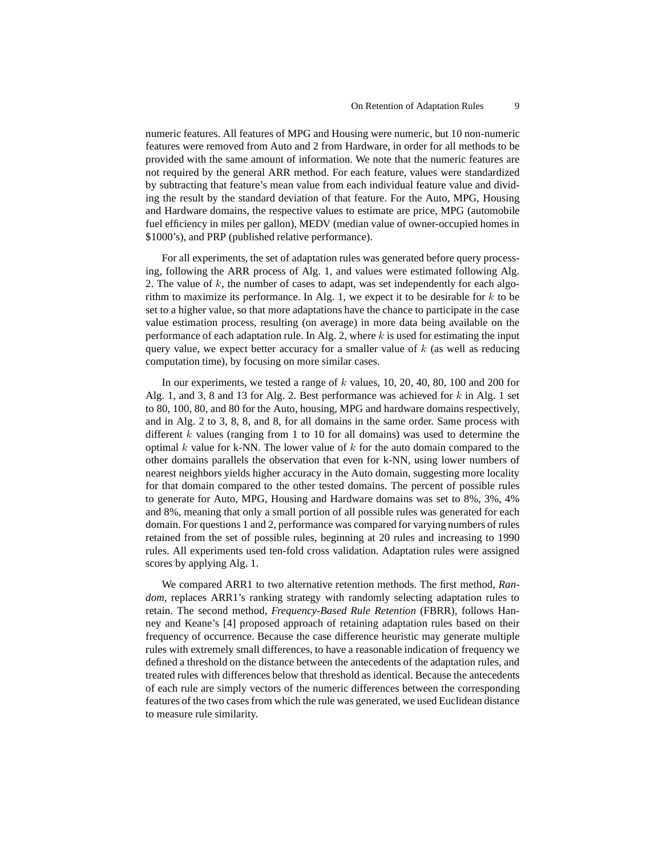#### On Retention of Adaptation Rules 9

numeric features. All features of MPG and Housing were numeric, but 10 non-numeric features were removed from Auto and 2 from Hardware, in order for all methods to be provided with the same amount of information. We note that the numeric features are not required by the general ARR method. For each feature, values were standardized by subtracting that feature's mean value from each individual feature value and dividing the result by the standard deviation of that feature. For the Auto, MPG, Housing and Hardware domains, the respective values to estimate are price, MPG (automobile fuel efficiency in miles per gallon), MEDV (median value of owner-occupied homes in \$1000's), and PRP (published relative performance).

For all experiments, the set of adaptation rules was generated before query processing, following the ARR process of Alg. 1, and values were estimated following Alg. 2. The value of  $k$ , the number of cases to adapt, was set independently for each algorithm to maximize its performance. In Alg. 1, we expect it to be desirable for  $k$  to be set to a higher value, so that more adaptations have the chance to participate in the case value estimation process, resulting (on average) in more data being available on the performance of each adaptation rule. In Alg. 2, where  $k$  is used for estimating the input query value, we expect better accuracy for a smaller value of  $k$  (as well as reducing computation time), by focusing on more similar cases.

In our experiments, we tested a range of  $k$  values, 10, 20, 40, 80, 100 and 200 for Alg. 1, and 3, 8 and 13 for Alg. 2. Best performance was achieved for  $k$  in Alg. 1 set to 80, 100, 80, and 80 for the Auto, housing, MPG and hardware domains respectively, and in Alg. 2 to 3, 8, 8, and 8, for all domains in the same order. Same process with different  $k$  values (ranging from 1 to 10 for all domains) was used to determine the optimal k value for k-NN. The lower value of  $k$  for the auto domain compared to the other domains parallels the observation that even for k-NN, using lower numbers of nearest neighbors yields higher accuracy in the Auto domain, suggesting more locality for that domain compared to the other tested domains. The percent of possible rules to generate for Auto, MPG, Housing and Hardware domains was set to 8%, 3%, 4% and 8%, meaning that only a small portion of all possible rules was generated for each domain. For questions 1 and 2, performance was compared for varying numbers of rules retained from the set of possible rules, beginning at 20 rules and increasing to 1990 rules. All experiments used ten-fold cross validation. Adaptation rules were assigned scores by applying Alg. 1.

We compared ARR1 to two alternative retention methods. The first method, *Random*, replaces ARR1's ranking strategy with randomly selecting adaptation rules to retain. The second method, *Frequency-Based Rule Retention* (FBRR), follows Hanney and Keane's [4] proposed approach of retaining adaptation rules based on their frequency of occurrence. Because the case difference heuristic may generate multiple rules with extremely small differences, to have a reasonable indication of frequency we defined a threshold on the distance between the antecedents of the adaptation rules, and treated rules with differences below that threshold as identical. Because the antecedents of each rule are simply vectors of the numeric differences between the corresponding features of the two cases from which the rule was generated, we used Euclidean distance to measure rule similarity.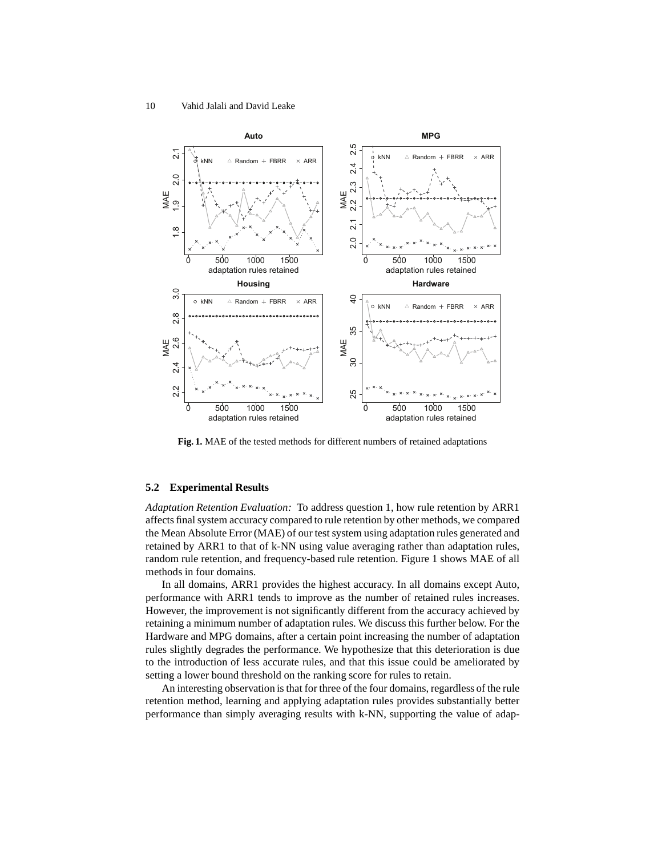

**Fig. 1.** MAE of the tested methods for different numbers of retained adaptations

#### **5.2 Experimental Results**

*Adaptation Retention Evaluation:* To address question 1, how rule retention by ARR1 affects final system accuracy compared to rule retention by other methods, we compared the Mean Absolute Error (MAE) of our test system using adaptation rules generated and retained by ARR1 to that of k-NN using value averaging rather than adaptation rules, random rule retention, and frequency-based rule retention. Figure 1 shows MAE of all methods in four domains.

In all domains, ARR1 provides the highest accuracy. In all domains except Auto, performance with ARR1 tends to improve as the number of retained rules increases. However, the improvement is not significantly different from the accuracy achieved by retaining a minimum number of adaptation rules. We discuss this further below. For the Hardware and MPG domains, after a certain point increasing the number of adaptation rules slightly degrades the performance. We hypothesize that this deterioration is due to the introduction of less accurate rules, and that this issue could be ameliorated by setting a lower bound threshold on the ranking score for rules to retain.

An interesting observation is that for three of the four domains, regardless of the rule retention method, learning and applying adaptation rules provides substantially better performance than simply averaging results with k-NN, supporting the value of adap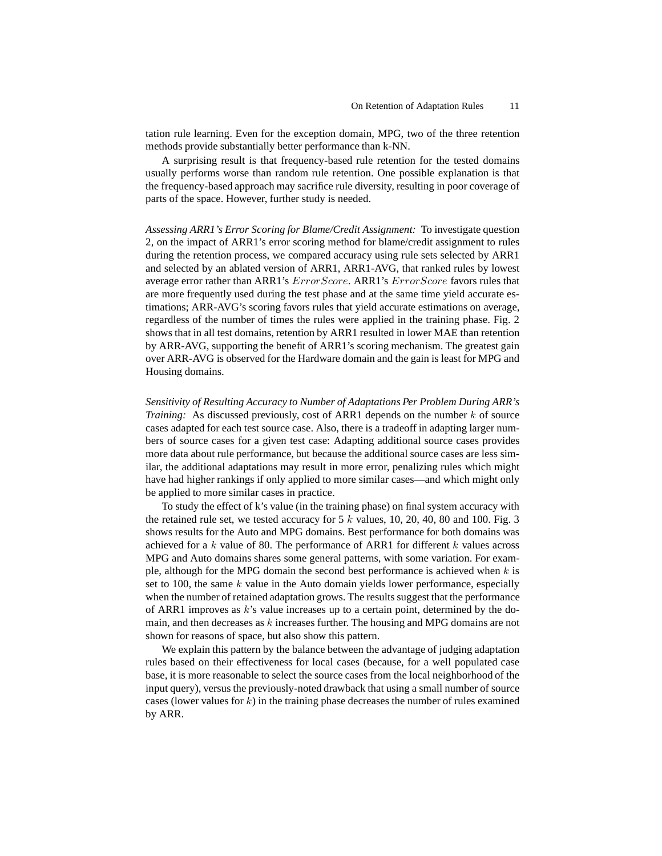tation rule learning. Even for the exception domain, MPG, two of the three retention methods provide substantially better performance than k-NN.

A surprising result is that frequency-based rule retention for the tested domains usually performs worse than random rule retention. One possible explanation is that the frequency-based approach may sacrifice rule diversity, resulting in poor coverage of parts of the space. However, further study is needed.

*Assessing ARR1's Error Scoring for Blame/Credit Assignment:* To investigate question 2, on the impact of ARR1's error scoring method for blame/credit assignment to rules during the retention process, we compared accuracy using rule sets selected by ARR1 and selected by an ablated version of ARR1, ARR1-AVG, that ranked rules by lowest average error rather than ARR1's ErrorScore. ARR1's ErrorScore favors rules that are more frequently used during the test phase and at the same time yield accurate estimations; ARR-AVG's scoring favors rules that yield accurate estimations on average, regardless of the number of times the rules were applied in the training phase. Fig. 2 shows that in all test domains, retention by ARR1 resulted in lower MAE than retention by ARR-AVG, supporting the benefit of ARR1's scoring mechanism. The greatest gain over ARR-AVG is observed for the Hardware domain and the gain is least for MPG and Housing domains.

*Sensitivity of Resulting Accuracy to Number of Adaptations Per Problem During ARR's Training:* As discussed previously, cost of ARR1 depends on the number k of source cases adapted for each test source case. Also, there is a tradeoff in adapting larger numbers of source cases for a given test case: Adapting additional source cases provides more data about rule performance, but because the additional source cases are less similar, the additional adaptations may result in more error, penalizing rules which might have had higher rankings if only applied to more similar cases—and which might only be applied to more similar cases in practice.

To study the effect of k's value (in the training phase) on final system accuracy with the retained rule set, we tested accuracy for  $5 \, k$  values, 10, 20, 40, 80 and 100. Fig. 3 shows results for the Auto and MPG domains. Best performance for both domains was achieved for a k value of 80. The performance of ARR1 for different k values across MPG and Auto domains shares some general patterns, with some variation. For example, although for the MPG domain the second best performance is achieved when  $k$  is set to 100, the same  $k$  value in the Auto domain yields lower performance, especially when the number of retained adaptation grows. The results suggest that the performance of ARR1 improves as  $k$ 's value increases up to a certain point, determined by the domain, and then decreases as k increases further. The housing and MPG domains are not shown for reasons of space, but also show this pattern.

We explain this pattern by the balance between the advantage of judging adaptation rules based on their effectiveness for local cases (because, for a well populated case base, it is more reasonable to select the source cases from the local neighborhood of the input query), versus the previously-noted drawback that using a small number of source cases (lower values for  $k$ ) in the training phase decreases the number of rules examined by ARR.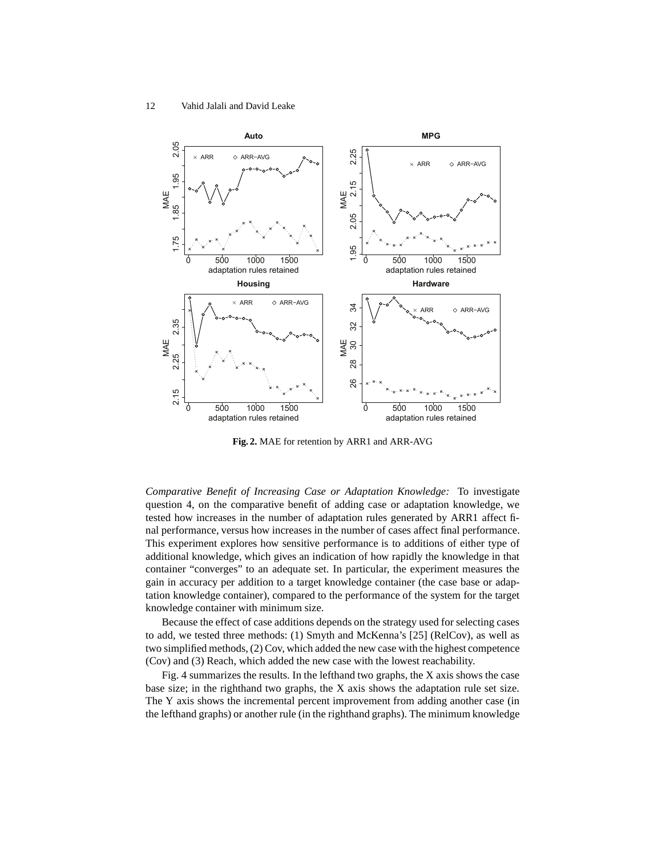

**Fig. 2.** MAE for retention by ARR1 and ARR-AVG

*Comparative Benefit of Increasing Case or Adaptation Knowledge:* To investigate question 4, on the comparative benefit of adding case or adaptation knowledge, we tested how increases in the number of adaptation rules generated by ARR1 affect final performance, versus how increases in the number of cases affect final performance. This experiment explores how sensitive performance is to additions of either type of additional knowledge, which gives an indication of how rapidly the knowledge in that container "converges" to an adequate set. In particular, the experiment measures the gain in accuracy per addition to a target knowledge container (the case base or adaptation knowledge container), compared to the performance of the system for the target knowledge container with minimum size.

Because the effect of case additions depends on the strategy used for selecting cases to add, we tested three methods: (1) Smyth and McKenna's [25] (RelCov), as well as two simplified methods, (2) Cov, which added the new case with the highest competence (Cov) and (3) Reach, which added the new case with the lowest reachability.

Fig. 4 summarizes the results. In the lefthand two graphs, the X axis shows the case base size; in the righthand two graphs, the X axis shows the adaptation rule set size. The Y axis shows the incremental percent improvement from adding another case (in the lefthand graphs) or another rule (in the righthand graphs). The minimum knowledge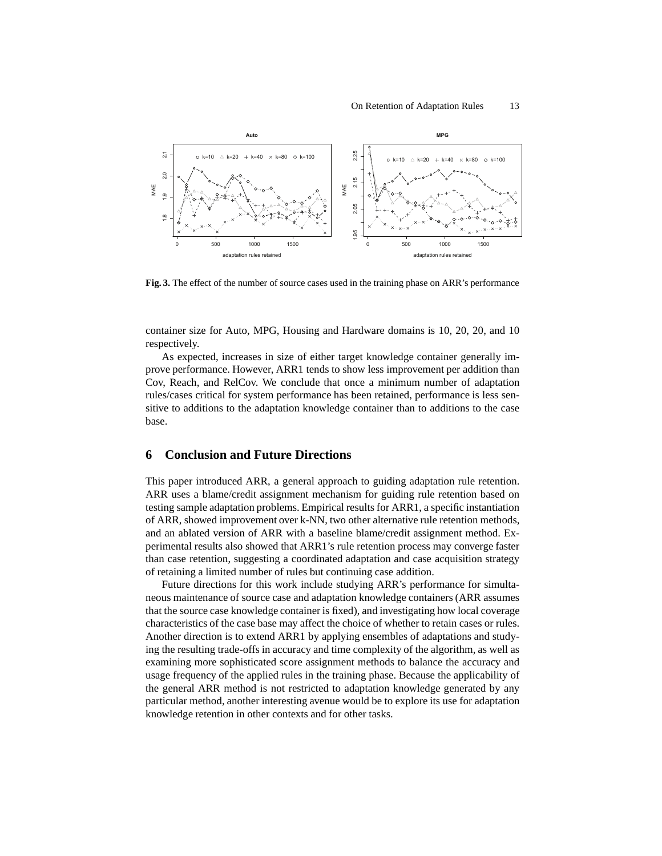

**Fig. 3.** The effect of the number of source cases used in the training phase on ARR's performance

container size for Auto, MPG, Housing and Hardware domains is 10, 20, 20, and 10 respectively.

As expected, increases in size of either target knowledge container generally improve performance. However, ARR1 tends to show less improvement per addition than Cov, Reach, and RelCov. We conclude that once a minimum number of adaptation rules/cases critical for system performance has been retained, performance is less sensitive to additions to the adaptation knowledge container than to additions to the case base.

# **6 Conclusion and Future Directions**

This paper introduced ARR, a general approach to guiding adaptation rule retention. ARR uses a blame/credit assignment mechanism for guiding rule retention based on testing sample adaptation problems. Empirical results for ARR1, a specific instantiation of ARR, showed improvement over k-NN, two other alternative rule retention methods, and an ablated version of ARR with a baseline blame/credit assignment method. Experimental results also showed that ARR1's rule retention process may converge faster than case retention, suggesting a coordinated adaptation and case acquisition strategy of retaining a limited number of rules but continuing case addition.

Future directions for this work include studying ARR's performance for simultaneous maintenance of source case and adaptation knowledge containers (ARR assumes that the source case knowledge container is fixed), and investigating how local coverage characteristics of the case base may affect the choice of whether to retain cases or rules. Another direction is to extend ARR1 by applying ensembles of adaptations and studying the resulting trade-offs in accuracy and time complexity of the algorithm, as well as examining more sophisticated score assignment methods to balance the accuracy and usage frequency of the applied rules in the training phase. Because the applicability of the general ARR method is not restricted to adaptation knowledge generated by any particular method, another interesting avenue would be to explore its use for adaptation knowledge retention in other contexts and for other tasks.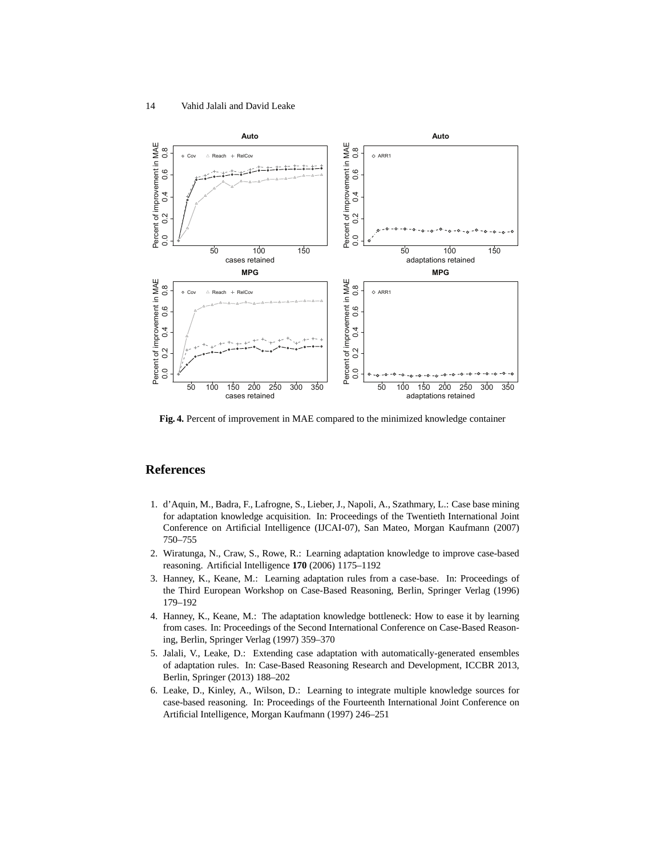

**Fig. 4.** Percent of improvement in MAE compared to the minimized knowledge container

# **References**

- 1. d'Aquin, M., Badra, F., Lafrogne, S., Lieber, J., Napoli, A., Szathmary, L.: Case base mining for adaptation knowledge acquisition. In: Proceedings of the Twentieth International Joint Conference on Artificial Intelligence (IJCAI-07), San Mateo, Morgan Kaufmann (2007) 750–755
- 2. Wiratunga, N., Craw, S., Rowe, R.: Learning adaptation knowledge to improve case-based reasoning. Artificial Intelligence **170** (2006) 1175–1192
- 3. Hanney, K., Keane, M.: Learning adaptation rules from a case-base. In: Proceedings of the Third European Workshop on Case-Based Reasoning, Berlin, Springer Verlag (1996) 179–192
- 4. Hanney, K., Keane, M.: The adaptation knowledge bottleneck: How to ease it by learning from cases. In: Proceedings of the Second International Conference on Case-Based Reasoning, Berlin, Springer Verlag (1997) 359–370
- 5. Jalali, V., Leake, D.: Extending case adaptation with automatically-generated ensembles of adaptation rules. In: Case-Based Reasoning Research and Development, ICCBR 2013, Berlin, Springer (2013) 188–202
- 6. Leake, D., Kinley, A., Wilson, D.: Learning to integrate multiple knowledge sources for case-based reasoning. In: Proceedings of the Fourteenth International Joint Conference on Artificial Intelligence, Morgan Kaufmann (1997) 246–251